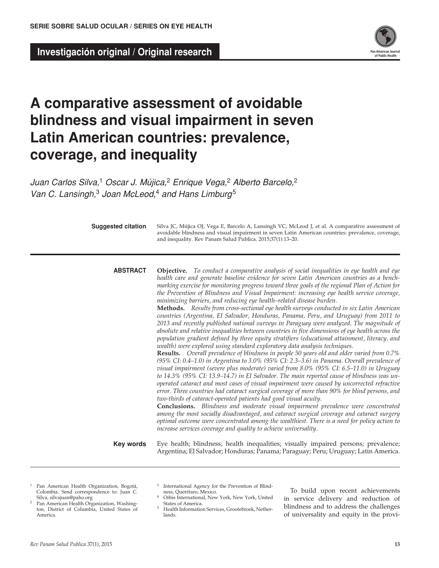**Investigación original / Original research** 



# **A comparative assessment of avoidable blindness and visual impairment in seven Latin American countries: prevalence, coverage, and inequality**

*Juan Carlos Silva,*1 *Oscar J. Mújica,*2 *Enrique Vega,*2 *Alberto Barcelo,*<sup>2</sup> *Van C. Lansingh,*3 *Joan McLeod,*4 *and Hans Limburg*<sup>5</sup>

**Suggested citation**

Silva JC, Mújica OJ, Vega E, Barcelo A, Lansingh VC, McLeod J, et al. A comparative assessment of avoidable blindness and visual impairment in seven Latin American countries: prevalence, coverage, and inequality. Rev Panam Salud Publica. 2015;37(1):13–20.

**abstract**

**Objective.** *To conduct a comparative analysis of social inequalities in eye health and eye health care and generate baseline evidence for seven Latin American countries as a benchmarking exercise for monitoring progress toward three goals of the regional Plan of Action for the Prevention of Blindness and Visual Impairment: increasing eye health service coverage, minimizing barriers, and reducing eye health–related disease burden.*

**Methods.** *Results from cross-sectional eye health surveys conducted in six Latin American countries (Argentina, El Salvador, Honduras, Panama, Peru, and Uruguay) from 2011 to 2013 and recently published national surveys in Paraguay were analyzed. The magnitude of absolute and relative inequalities between countries in five dimensions of eye health across the population gradient defined by three equity stratifiers (educational attainment, literacy, and wealth) were explored using standard exploratory data analysis techniques.*

**Results.** *Overall prevalence of blindness in people 50 years old and older varied from 0.7% (95% CI: 0.4–1.0) in Argentina to 3.0% (95% CI: 2.3–3.6) in Panama. Overall prevalence of visual impairment (severe plus moderate) varied from 8.0% (95% CI: 6.5–11.0) in Uruguay to 14.3% (95% CI: 13.9–14.7) in El Salvador. The main reported cause of blindness was unoperated cataract and most cases of visual impairment were caused by uncorrected refractive error. Three countries had cataract surgical coverage of more than 90% for blind persons, and two-thirds of cataract-operated patients had good visual acuity.* 

**Conclusions.** *Blindness and moderate visual impairment prevalence were concentrated among the most socially disadvantaged, and cataract surgical coverage and cataract surgery optimal outcome were concentrated among the wealthiest. There is a need for policy action to increase services coverage and quality to achieve universality.*

**Key words**

Eye health; blindness; health inequalities; visually impaired persons; prevalence; Argentina; El Salvador; Honduras; Panama; Paraguay; Peru; Uruguay; Latin America.

- <sup>1</sup> Pan American Health Organization, Bogotá, Colombia. Send correspondence to: Juan C. Silva, silvajuan@paho.org
- Pan American Health Organization, Washington, District of Columbia, United States of America.
- 3 International Agency for the Prevention of Blindness, Querétaro, Mexico.
- 4 Orbis International, New York, New York, United States of America.
- 5 Health Information Services, Grootebroek, Netherlands.

To build upon recent achievements in service delivery and reduction of blindness and to address the challenges of universality and equity in the provi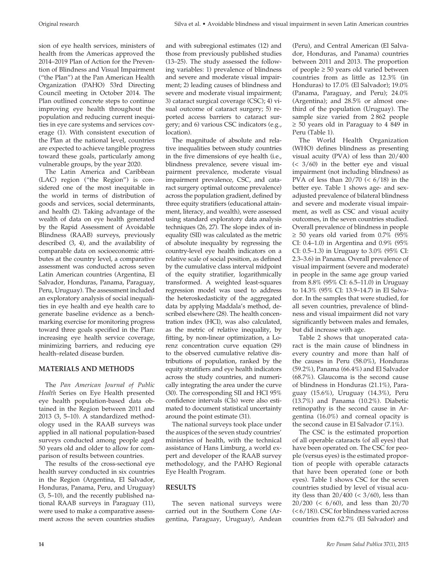sion of eye health services, ministers of health from the Americas approved the 2014–2019 Plan of Action for the Prevention of Blindness and Visual Impairment ("the Plan") at the Pan American Health Organization (PAHO) 53rd Directing Council meeting in October 2014. The Plan outlined concrete steps to continue improving eye health throughout the population and reducing current inequities in eye care systems and services coverage (1). With consistent execution of the Plan at the national level, countries are expected to achieve tangible progress toward these goals, particularly among vulnerable groups, by the year 2020.

The Latin America and Caribbean (LAC) region ("the Region") is considered one of the most inequitable in the world in terms of distribution of goods and services, social determinants, and health (2). Taking advantage of the wealth of data on eye health generated by the Rapid Assessment of Avoidable Blindness (RAAB) surveys, previously described (3, 4), and the availability of comparable data on socioeconomic attributes at the country level, a comparative assessment was conducted across seven Latin American countries (Argentina, El Salvador, Honduras, Panama, Paraguay, Peru, Uruguay). The assessment included an exploratory analysis of social inequalities in eye health and eye health care to generate baseline evidence as a benchmarking exercise for monitoring progress toward three goals specified in the Plan: increasing eye health service coverage, minimizing barriers, and reducing eye health–related disease burden.

# **MATERIALS AND METHODS**

The *Pan American Journal of Public Health* Series on Eye Health presented eye health population-based data obtained in the Region between 2011 and 2013 (3, 5–10). A standardized methodology used in the RAAB surveys was applied in all national population-based surveys conducted among people aged 50 years old and older to allow for comparison of results between countries.

The results of the cross-sectional eye health survey conducted in six countries in the Region (Argentina, El Salvador, Honduras, Panama, Peru, and Uruguay) (3, 5–10), and the recently published national RAAB surveys in Paraguay (11), were used to make a comparative assessment across the seven countries studies

and with subregional estimates (12) and those from previously published studies (13–25). The study assessed the following variables: 1) prevalence of blindness and severe and moderate visual impairment; 2) leading causes of blindness and severe and moderate visual impairment; 3) cataract surgical coverage (CSC); 4) visual outcome of cataract surgery; 5) reported access barriers to cataract surgery; and 6) various CSC indicators (e.g., location).

The magnitude of absolute and relative inequalities between study countries in the five dimensions of eye health (i.e., blindness prevalence, severe visual impairment prevalence, moderate visual impairment prevalence, CSC, and cataract surgery optimal outcome prevalence) across the population gradient, defined by three equity stratifiers (educational attainment, literacy, and wealth), were assessed using standard exploratory data analysis techniques (26, 27). The slope index of inequality (SII) was calculated as the metric of absolute inequality by regressing the country-level eye health indicators on a relative scale of social position, as defined by the cumulative class interval midpoint of the equity stratifier, logarithmically transformed. A weighted least-squares regression model was used to address the heteroskedasticity of the aggregated data by applying Maddala's method, described elsewhere (28). The health concentration index (HCI), was also calculated, as the metric of relative inequality, by fitting, by non-linear optimization, a Lorenz concentration curve equation (29) to the observed cumulative relative distributions of population, ranked by the equity stratifiers and eye health indicators across the study countries, and numerically integrating the area under the curve (30). The corresponding SII and HCI 95% confidence intervals (CIs) were also estimated to document statistical uncertainty around the point estimate (31).

The national surveys took place under the auspices of the seven study countries' ministries of health, with the technical assistance of Hans Limburg, a world expert and developer of the RAAB survey methodology, and the PAHO Regional Eye Health Program.

# **RESULTS**

The seven national surveys were carried out in the Southern Cone (Argentina, Paraguay, Uruguay), Andean (Peru), and Central American (El Salvador, Honduras, and Panama) countries between 2011 and 2013. The proportion of people  $\geq 50$  years old varied between countries from as little as 12.3% (in Honduras) to 17.0% (El Salvador); 19.0% (Panama, Paraguay, and Peru); 24.0% (Argentina); and 28.5% or almost onethird of the population (Uruguay). The sample size varied from 2 862 people ≥ 50 years old in Paraguay to 4 849 in Peru (Table 1).

The World Health Organization (WHO) defines blindness as presenting visual acuity (PVA) of less than 20/400 (< 3/60) in the better eye and visual impairment (not including blindness) as PVA of less than  $20/70 \leq 6/18$ ) in the better eye. Table 1 shows age- and sexadjusted prevalence of bilateral blindness and severe and moderate visual impairment, as well as CSC and visual acuity outcomes, in the seven countries studied. Overall prevalence of blindness in people  $\geq$  50 years old varied from 0.7% (95% CI: 0.4–1.0) in Argentina and 0.9% (95% CI: 0.5–1.3) in Uruguay to 3.0% (95% CI: 2.3–3.6) in Panama. Overall prevalence of visual impairment (severe and moderate) in people in the same age group varied from 8.8% (95% CI: 6.5–11.0) in Uruguay to 14.3% (95% CI: 13.9–14.7) in El Salvador. In the samples that were studied, for all seven countries, prevalence of blindness and visual impairment did not vary significantly between males and females, but did increase with age.

Table 2 shows that unoperated cataract is the main cause of blindness in every country and more than half of the causes in Peru (58.0%), Honduras (59.2%), Panama (66.4%) and El Salvador (68.7%). Glaucoma is the second cause of blindness in Honduras (21.1%), Paraguay (15.6%), Uruguay (14.3%), Peru (13.7%) and Panama (10.2%). Diabetic retinopathy is the second cause in Argentina (16.0%) and corneal opacity is the second cause in El Salvador (7.1%).

The CSC is the estimated proportion of all operable cataracts (of all eyes) that have been operated on. The CSC for people (versus eyes) is the estimated proportion of people with operable cataracts that have been operated (one or both eyes). Table 1 shows CSC for the seven countries studied by level of visual acuity (less than  $20/400 \leq 3/60$ ), less than 20/200 (< 6/60), and less than 20/70 (< 6/18)). CSC for blindness varied across countries from 62.7% (El Salvador) and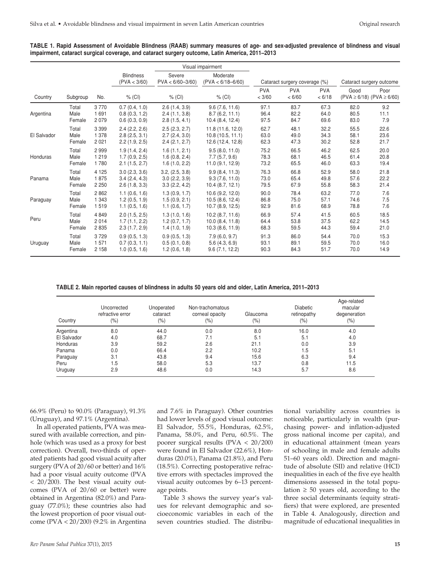|             |                                  |         |                                                                    | Visual impairment |                               |                      |                      |                          |      |                                           |
|-------------|----------------------------------|---------|--------------------------------------------------------------------|-------------------|-------------------------------|----------------------|----------------------|--------------------------|------|-------------------------------------------|
|             | <b>Blindness</b><br>(PVA < 3/60) |         | Severe<br>Moderate<br>$(PVA < 6/18 - 6/60)$<br>$PVA < 6/60 - 3/60$ |                   | Cataract surgery coverage (%) |                      |                      | Cataract surgery outcome |      |                                           |
| Country     | Subgroup                         | No.     | $%$ (CI)                                                           | $%$ (CI)          | $%$ (CI)                      | <b>PVA</b><br>< 3/60 | <b>PVA</b><br>< 6/60 | <b>PVA</b><br>< 6/18     | Good | Poor<br>$(PVA \ge 6/18)$ $(PVA \ge 6/60)$ |
| Argentina   | Total                            | 3770    | 0.7(0.4, 1.0)                                                      | 2.6(1.4, 3.9)     | 9.6(7.6, 11.6)                | 97.1                 | 83.7                 | 67.3                     | 82.0 | 9.2                                       |
|             | Male                             | 1691    | 0.8(0.3, 1.2)                                                      | 2.4(1.1, 3.8)     | 8.7(6.2, 11.1)                | 96.4                 | 82.2                 | 64.0                     | 80.5 | 11.1                                      |
|             | Female                           | 2079    | 0.6(0.3, 0.9)                                                      | 2.8(1.5, 4.1)     | 10.4 (8.4, 12.4)              | 97.5                 | 84.7                 | 69.6                     | 83.0 | 7.9                                       |
| El Salvador | Total                            | 3 3 9 9 | 2.4(2.2, 2.6)                                                      | 2.5(2.3, 2.7)     | 11.8 (11.6, 12.0)             | 62.7                 | 48.1                 | 32.2                     | 55.5 | 22.6                                      |
|             | Male                             | 1 3 7 8 | 2.8(2.5, 3.1)                                                      | 2.7(2.4, 3.0)     | 10.8(10.5, 11.1)              | 63.0                 | 49.0                 | 34.3                     | 58.1 | 23.6                                      |
|             | Female                           | 2 0 2 1 | 2.2(1.9, 2.5)                                                      | 2.4(2.1, 2.7)     | 12.6 (12.4, 12.8)             | 62.3                 | 47.3                 | 30.2                     | 52.8 | 21.7                                      |
| Honduras    | Total                            | 2999    | 1.9(1.4, 2.4)                                                      | 1.6(1.1, 2.1)     | 9.5(8.0, 11.0)                | 75.2                 | 66.5                 | 46.2                     | 62.5 | 20.0                                      |
|             | Male                             | 1 2 1 9 | 1.7(0.9, 2.5)                                                      | 1.6(0.8, 2.4)     | 7.7(5.7, 9.6)                 | 78.3                 | 68.1                 | 46.5                     | 61.4 | 20.8                                      |
|             | Female                           | 1780    | 2.1(1.5, 2.7)                                                      | 1.6(1.0, 2.2)     | 11.0(9.1, 12.9)               | 73.2                 | 65.5                 | 46.0                     | 63.3 | 19.4                                      |
| Panama      | Total                            | 4 1 2 5 | 3.0(2.3, 3.6)                                                      | 3.2, (2.5, 3.8)   | 9.9(8.4, 11.3)                | 76.3                 | 66.8                 | 52.9                     | 58.0 | 21.8                                      |
|             | Male                             | 1875    | 3.4(2.4, 4.3)                                                      | 3.0(2.2, 3.9)     | 9.3(7.6, 11.0)                | 73.0                 | 65.4                 | 49.8                     | 57.6 | 22.2                                      |
|             | Female                           | 2 2 5 0 | 2.6(1.8, 3.3)                                                      | 3.3(2.2, 4.2)     | 10.4(8.7, 12.1)               | 79.5                 | 67.9                 | 55.8                     | 58.3 | 21.4                                      |
| Paraguay    | Total                            | 2862    | 1.1(0.6, 1.6)                                                      | 1.3(0.9, 1.7)     | 10.6 (9.2, 12.0)              | 90.0                 | 78.4                 | 63.2                     | 77.0 | 7.6                                       |
|             | Male                             | 1 3 4 3 | 1.2(0.5, 1.9)                                                      | 1.5(0.9, 2.1)     | 10.5(8.6, 12.4)               | 86.8                 | 75.0                 | 57.1                     | 74.6 | 7.5                                       |
|             | Female                           | 1519    | 1.1(0.5, 1.6)                                                      | 1.1(0.6, 1.7)     | 10.7(8.9, 12.5)               | 92.9                 | 81.6                 | 68.9                     | 78.8 | 7.6                                       |
| Peru        | Total                            | 4849    | 2.0(1.5, 2.5)                                                      | 1.3(1.0, 1.6)     | 10.2(8.7, 11.6)               | 66.9                 | 57.4                 | 41.5                     | 60.5 | 18.5                                      |
|             | Male                             | 2014    | 1.7(1.1, 2.2)                                                      | 1.2(0.7, 1.7)     | 10.0 (8.4, 11.8)              | 64.4                 | 53.8                 | 37.5                     | 62.2 | 14.5                                      |
|             | Female                           | 2835    | 2.3(1.7, 2.9)                                                      | 1.4(1.0, 1.9)     | 10.3(8.6, 11.9)               | 68.3                 | 59.5                 | 44.3                     | 59.4 | 21.0                                      |
| Uruguay     | Total                            | 3729    | 0.9(0.5, 1.3)                                                      | 0.9(0.5, 1.3)     | 7.9(6.0, 9.7)                 | 91.3                 | 86.0                 | 54.4                     | 70.0 | 15.3                                      |
|             | Male                             | 1571    | 0.7(0.3, 1.1)                                                      | 0.5(0.1, 0.8)     | 5.6(4.3, 6.9)                 | 93.1                 | 89.1                 | 59.5                     | 70.0 | 16.0                                      |
|             | Female                           | 2 1 5 8 | 1.0(0.5, 1.6)                                                      | 1.2(0.6, 1.8)     | 9.6(7.1, 12.2)                | 90.3                 | 84.3                 | 51.7                     | 70.0 | 14.9                                      |

**TABLE 1. Rapid Assessment of Avoidable Blindness (RAAB) summary measures of age- and sex-adjusted prevalence of blindness and visual impairment, cataract surgical coverage, and cataract surgery outcome, Latin America, 2011–2013**

**TABLE 2. Main reported causes of blindness in adults 50 years old and older, Latin America, 2011–2013**

| Country     | Uncorrected<br>refractive error<br>$(\% )$ | Unoperated<br>cataract<br>(% ) | Non-trachomatous<br>corneal opacity<br>(%) | Glaucoma<br>(%) | <b>Diabetic</b><br>retinopathy<br>(%) | Age-related<br>macular<br>degeneration<br>$(\% )$ |
|-------------|--------------------------------------------|--------------------------------|--------------------------------------------|-----------------|---------------------------------------|---------------------------------------------------|
| Argentina   | 8.0                                        | 44.0                           | 0.0                                        | 8.0             | 16.0                                  | 4.0                                               |
| El Salvador | 4.0                                        | 68.7                           | 7.1                                        | 5.1             | 5.1                                   | 4.0                                               |
| Honduras    | 3.9                                        | 59.2                           | 2.6                                        | 21.1            | 0.0                                   | 3.9                                               |
| Panama      | 0.0                                        | 66.4                           | 2.2                                        | 10.2            | 1.5                                   | 5.1                                               |
| Paraguay    | 3.1                                        | 43.8                           | 9.4                                        | 15.6            | 6.3                                   | 9.4                                               |
| Peru        | 1.5                                        | 58.0                           | 5.3                                        | 13.7            | 0.8                                   | 11.5                                              |
| Uruguay     | 2.9                                        | 48.6                           | 0.0                                        | 14.3            | 5.7                                   | 8.6                                               |

66.9% (Peru) to 90.0% (Paraguay), 91.3% (Uruguay), and 97.1% (Argentina).

In all operated patients, PVA was measured with available correction, and pinhole (which was used as a proxy for best correction). Overall, two-thirds of operated patients had good visual acuity after surgery (PVA of 20/60 or better) and 16% had a poor visual acuity outcome (PVA  $<$  20/200). The best visual acuity outcomes (PVA of 20/60 or better) were obtained in Argentina (82.0%) and Paraguay (77.0%); these countries also had the lowest proportion of poor visual outcome (PVA < 20/200) (9.2% in Argentina

and 7.6% in Paraguay). Other countries had lower levels of good visual outcome: El Salvador, 55.5%, Honduras, 62.5%, Panama, 58.0%, and Peru, 60.5%. The poorer surgical results (PVA < 20/200) were found in El Salvador (22.6%), Honduras (20.0%), Panama (21.8%), and Peru (18.5%). Correcting postoperative refractive errors with spectacles improved the visual acuity outcomes by 6–13 percentage points.

Table 3 shows the survey year's values for relevant demographic and socioeconomic variables in each of the seven countries studied. The distributional variability across countries is noticeable, particularly in wealth (purchasing power- and inflation-adjusted gross national income per capita), and in educational attainment (mean years of schooling in male and female adults 51–60 years old). Direction and magnitude of absolute (SII) and relative (HCI) inequalities in each of the five eye health dimensions assessed in the total population  $\geq 50$  years old, according to the three social determinants (equity stratifiers) that were explored, are presented in Table 4. Analogously, direction and magnitude of educational inequalities in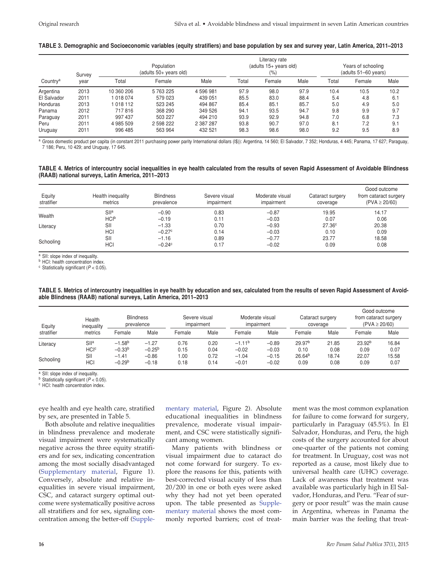#### **TABLE 3. Demographic and Socioeconomic variables (equity stratifiers) and base population by sex and survey year, Latin America, 2011–2013**

| Country <sup>a</sup> |                | Literacy rate |                                  |                                   |       |                                            |      |       |        |      |
|----------------------|----------------|---------------|----------------------------------|-----------------------------------|-------|--------------------------------------------|------|-------|--------|------|
|                      |                |               |                                  | (adults 15+ years old)<br>$(\% )$ |       | Years of schooling<br>(adults 51-60 years) |      |       |        |      |
|                      | Survey<br>vear | Total         | (adults 50+ years old)<br>Female | Male                              | Total |                                            | Male | Total | Female | Male |
| Argentina            | 2013           | 10 360 206    | 5 763 225                        | 4596981                           | 97.9  | 98.0                                       | 97.9 | 10.4  | 10.5   | 10.2 |
| El Salvador          | 2011           | 1 018 074     | 579 023                          | 439 051                           | 85.5  | 83.0                                       | 88.4 | 5.4   | 4.8    | 6.1  |
| Honduras             | 2013           | 1018 112      | 523 245                          | 494 867                           | 85.4  | 85.1                                       | 85.7 | 5.0   | 4.9    | 5.0  |
| Panama               | 2012           | 717816        | 368 290                          | 349 526                           | 94.1  | 93.5                                       | 94.7 | 9.8   | 9.9    | 9.7  |
| Paraguay             | 2011           | 997 437       | 503 227                          | 494 210                           | 93.9  | 92.9                                       | 94.8 | 7.0   | 6.8    | 7.3  |
| Peru                 | 2011           | 4 985 509     | 2 598 222                        | 2 387 287                         | 93.8  | 90.7                                       | 97.0 | 8.1   | 7.2    | 9.1  |
| Uruguay              | 2011           | 996 485       | 563 964                          | 432 521                           | 98.3  | 98.6                                       | 98.0 | 9.2   | 9.5    | 8.9  |

a Gross domestic product per capita (in constant 2011 purchasing power parity International dollars (I\$)): Argentina, 14 560; El Salvador, 7 352; Honduras, 4 445; Panama, 17 627; Paraguay, 7 186; Peru, 10 429; and Uruguay, 17 645.

#### **TABLE 4. Metrics of intercountry social inequalities in eye health calculated from the results of seven Rapid Assessment of Avoidable Blindness (RAAB) national surveys, Latin America, 2011–2013**

| Equity<br>stratifier | Health inequality<br>metrics | <b>Blindness</b><br>prevalence | Severe visual<br>impairment | Moderate visual<br>impairment | Cataract surgery<br>coverage | Good outcome<br>from cataract surgery<br>$(PVA \ge 20/60)$ |
|----------------------|------------------------------|--------------------------------|-----------------------------|-------------------------------|------------------------------|------------------------------------------------------------|
| Wealth               | SII <sup>a</sup>             | $-0.90$                        | 0.83                        | $-0.87$                       | 19.95                        | 14.17                                                      |
|                      | HCI <sup>b</sup>             | $-0.19$                        | 0.11                        | $-0.03$                       | 0.07                         | 0.06                                                       |
| Literacy             | SII                          | $-1.33$                        | 0.70                        | $-0.93$                       | 27.36 <sup>c</sup>           | 20.38                                                      |
|                      | <b>HCI</b>                   | $-0.27c$                       | 0.14                        | $-0.03$                       | 0.10                         | 0.09                                                       |
| Schooling            | SII                          | $-1.16$                        | 0.89                        | $-0.77$                       | 23.77                        | 18.58                                                      |
|                      | <b>HCI</b>                   | $-0.24c$                       | 0.17                        | $-0.02$                       | 0.09                         | 0.08                                                       |

<sup>a</sup> SII: slope index of inequality.

**b** HCI: health concentration index

<sup>c</sup> Statistically significant (*P* < 0.05).

**TABLE 5. Metrics of intercountry inequalities in eye health by education and sex, calculated from the results of seven Rapid Assessment of Avoidable Blindness (RAAB) national surveys, Latin America, 2011–2013**

| Equity     | Health<br>inequality   | <b>Blindness</b><br>prevalence |          | Moderate visual<br>Severe visual<br>impairment<br>impairment |      |          | Cataract surgery<br>coverage |                    | Good outcome<br>from cataract surgery<br>$(PVA \ge 20/60)$ |                    |       |
|------------|------------------------|--------------------------------|----------|--------------------------------------------------------------|------|----------|------------------------------|--------------------|------------------------------------------------------------|--------------------|-------|
| stratifier | metrics                | Female                         | Male     | Female                                                       | Male | Female   | Male                         | Female             | Male                                                       | Female             | Male  |
| Literacy   | $S$ lla                | $-1.58b$                       | $-1.27$  | 0.76                                                         | 0.20 | $-1.11b$ | $-0.89$                      | 29.97 <sup>b</sup> | 21.85                                                      | 23.92 <sup>b</sup> | 16.84 |
|            | <b>HCI<sup>c</sup></b> | $-0.33b$                       | $-0.25b$ | 0.15                                                         | 0.04 | $-0.02$  | $-0.03$                      | 0.10               | 0.08                                                       | 0.09               | 0.07  |
| Schooling  | SII                    | $-1.41$                        | $-0.86$  | .00                                                          | 0.72 | $-1.04$  | $-0.15$                      | 26.64 <sup>b</sup> | 18.74                                                      | 22.07              | 15.58 |
|            | HCI                    | $-0.29b$                       | $-0.18$  | 0.18                                                         | 0.14 | $-0.01$  | $-0.02$                      | 0.09               | 0.08                                                       | 0.09               | 0.07  |

<sup>a</sup> SII: slope index of inequality.

<sup>b</sup> Statistically significant (*P* < 0.05).

<sup>c</sup> HCI: health concentration index.

eye health and eye health care, stratified by sex, are presented in Table 5.

Both absolute and relative inequalities in blindness prevalence and moderate visual impairment were systematically negative across the three equity stratifiers and for sex, indicating concentration among the most socially disadvantaged ([Supplementary material,](http://www.paho.org/journal/index.php?option=com_docman&task=doc_download&gid=842&Itemid=275&lang=es) Figure 1). Conversely, absolute and relative inequalities in severe visual impairment, CSC, and cataract surgery optimal outcome were systematically positive across all stratifiers and for sex, signaling concentration among the better-off (S[upple-](http://www.paho.org/journal/index.php?option=com_docman&task=doc_download&gid=842&Itemid=275&lang=es) [mentary material,](http://www.paho.org/journal/index.php?option=com_docman&task=doc_download&gid=842&Itemid=275&lang=es) Figure 2). Absolute educational inequalities in blindness prevalence, moderate visual impairment, and CSC were statistically significant among women.

Many patients with blindness or visual impairment due to cataract do not come forward for surgery. To explore the reasons for this, patients with best-corrected visual acuity of less than 20/200 in one or both eyes were asked why they had not yet been operated upon. The table presented as [Supple](http://www.paho.org/journal/index.php?option=com_docman&task=doc_download&gid=842&Itemid=275&lang=es)[mentary material](http://www.paho.org/journal/index.php?option=com_docman&task=doc_download&gid=842&Itemid=275&lang=es) shows the most commonly reported barriers; cost of treatment was the most common explanation for failure to come forward for surgery, particularly in Paraguay (45.5%). In El Salvador, Honduras, and Peru, the high costs of the surgery accounted for about one-quarter of the patients not coming for treatment. In Uruguay, cost was not reported as a cause, most likely due to universal health care (UHC) coverage. Lack of awareness that treatment was available was particularly high in El Salvador, Honduras, and Peru. "Fear of surgery or poor result" was the main cause in Argentina, whereas in Panama the main barrier was the feeling that treat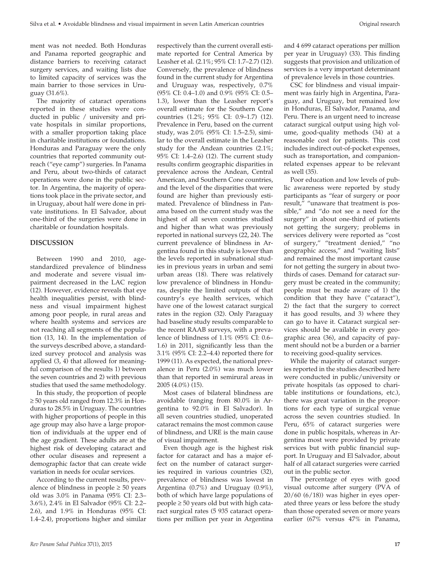ment was not needed. Both Honduras and Panama reported geographic and distance barriers to receiving cataract surgery services, and waiting lists due to limited capacity of services was the main barrier to those services in Uruguay (31.6%).

The majority of cataract operations reported in these studies were conducted in public / university and private hospitals in similar proportions, with a smaller proportion taking place in charitable institutions or foundations. Honduras and Paraguay were the only countries that reported community outreach ("eye camp") surgeries. In Panama and Peru, about two-thirds of cataract operations were done in the public sector. In Argentina, the majority of operations took place in the private sector, and in Uruguay, about half were done in private institutions. In El Salvador, about one-third of the surgeries were done in charitable or foundation hospitals.

#### **DISCUSSION**

Between 1990 and 2010, agestandardized prevalence of blindness and moderate and severe visual impairment decreased in the LAC region (12). However, evidence reveals that eye health inequalities persist, with blindness and visual impairment highest among poor people, in rural areas and where health systems and services are not reaching all segments of the population (13, 14). In the implementation of the surveys described above, a standardized survey protocol and analysis was applied (3, 4) that allowed for meaningful comparison of the results 1) between the seven countries and 2) with previous studies that used the same methodology.

In this study, the proportion of people ≥ 50 years old ranged from 12.3% in Honduras to 28.5% in Uruguay. The countries with higher proportions of people in this age group may also have a large proportion of individuals at the upper end of the age gradient. These adults are at the highest risk of developing cataract and other ocular diseases and represent a demographic factor that can create wide variation in needs for ocular services.

According to the current results, prevalence of blindness in people  $\geq 50$  years old was 3.0% in Panama (95% CI: 2.3– 3.6%), 2.4% in El Salvador (95% CI: 2.2– 2.6), and 1.9% in Honduras (95% CI: 1.4–2.4), proportions higher and similar respectively than the current overall estimate reported for Central America by Leasher et al. (2.1%; 95% CI: 1.7–2.7) (12). Conversely, the prevalence of blindness found in the current study for Argentina and Uruguay was, respectively, 0.7% (95% CI: 0.4–1.0) and 0.9% (95% CI: 0.5– 1.3), lower than the Leasher report's overall estimate for the Southern Cone countries (1.2%; 95% CI: 0.9–1.7) (12). Prevalence in Peru, based on the current study, was 2.0% (95% CI: 1.5–2.5), similar to the overall estimate in the Leasher study for the Andean countries (2.1%; 95% CI: 1.4–2.6) (12). The current study results confirm geographic disparities in prevalence across the Andean, Central American, and Southern Cone countries, and the level of the disparities that were found are higher than previously estimated. Prevalence of blindness in Panama based on the current study was the highest of all seven countries studied and higher than what was previously reported in national surveys (22, 24). The current prevalence of blindness in Argentina found in this study is lower than the levels reported in subnational studies in previous years in urban and semi urban areas (18). There was relatively low prevalence of blindness in Honduras, despite the limited outputs of that country's eye health services, which have one of the lowest cataract surgical rates in the region (32). Only Paraguay had baseline study results comparable to the recent RAAB surveys, with a prevalence of blindness of 1.1% (95% CI: 0.6– 1.6) in 2011, significantly less than the 3.1% (95% CI: 2.2–4.4) reported there for 1999 (11). As expected, the national prevalence in Peru (2.0%) was much lower than that reported in semirural areas in 2005 (4.0%) (15).

Most cases of bilateral blindness are avoidable (ranging from 80.0% in Argentina to 92.0% in El Salvador). In all seven countries studied, unoperated cataract remains the most common cause of blindness, and URE is the main cause of visual impairment.

Even though age is the highest risk factor for cataract and has a major effect on the number of cataract surgeries required in various countries (32), prevalence of blindness was lowest in Argentina (0.7%) and Uruguay (0.9%), both of which have large populations of people ≥ 50 years old but with high cataract surgical rates (5 935 cataract operations per million per year in Argentina

and 4 699 cataract operations per million per year in Uruguay) (33). This finding suggests that provision and utilization of services is a very important determinant of prevalence levels in those countries.

CSC for blindness and visual impairment was fairly high in Argentina, Paraguay, and Uruguay, but remained low in Honduras, El Salvador, Panama, and Peru. There is an urgent need to increase cataract surgical output using high volume, good-quality methods (34) at a reasonable cost for patients. This cost includes indirect out-of-pocket expenses, such as transportation, and companionrelated expenses appear to be relevant as well (35).

Poor education and low levels of public awareness were reported by study participants as "fear of surgery or poor result," "unaware that treatment is possible," and "do not see a need for the surgery" in about one-third of patients not getting the surgery; problems in services delivery were reported as "cost of surgery," "treatment denied," "no geographic access," and "waiting lists" and remained the most important cause for not getting the surgery in about twothirds of cases. Demand for cataract surgery must be created in the community; people must be made aware of 1) the condition that they have ("cataract"), 2) the fact that the surgery to correct it has good results, and 3) where they can go to have it. Cataract surgical services should be available in every geographic area (36), and capacity of payment should not be a burden or a barrier to receiving good-quality services.

While the majority of cataract surgeries reported in the studies described here were conducted in public/university or private hospitals (as opposed to charitable institutions or foundations, etc.), there was great variation in the proportions for each type of surgical venue across the seven countries studied. In Peru, 65% of cataract surgeries were done in public hospitals, whereas in Argentina most were provided by private services but with public financial support. In Uruguay and El Salvador, about half of all cataract surgeries were carried out in the public sector.

The percentage of eyes with good visual outcome after surgery (PVA of 20/60 (6/18)) was higher in eyes operated three years or less before the study than those operated seven or more years earlier (67% versus 47% in Panama,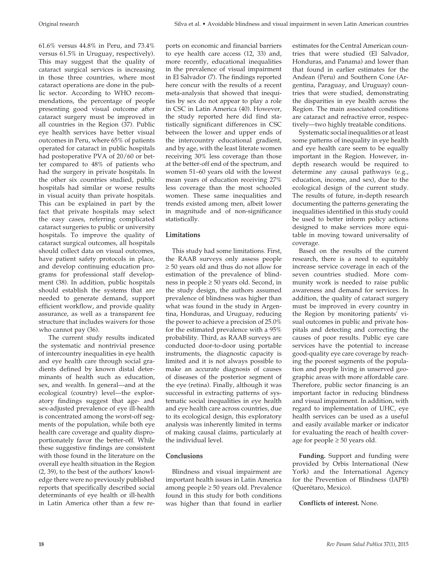61.6% versus 44.8% in Peru, and 73.4% versus 61.5% in Uruguay, respectively). This may suggest that the quality of cataract surgical services is increasing in those three countries, where most cataract operations are done in the public sector. According to WHO recommendations, the percentage of people presenting good visual outcome after cataract surgery must be improved in all countries in the Region (37). Public eye health services have better visual outcomes in Peru, where 65% of patients operated for cataract in public hospitals had postoperative PVA of 20/60 or better compared to 48% of patients who had the surgery in private hospitals. In the other six countries studied, public hospitals had similar or worse results in visual acuity than private hospitals. This can be explained in part by the fact that private hospitals may select the easy cases, referring complicated cataract surgeries to public or university hospitals. To improve the quality of cataract surgical outcomes, all hospitals should collect data on visual outcomes, have patient safety protocols in place, and develop continuing education programs for professional staff development (38). In addition, public hospitals should establish the systems that are needed to generate demand, support efficient workflow, and provide quality assurance, as well as a transparent fee structure that includes waivers for those who cannot pay (36).

 The current study results indicated the systematic and nontrivial presence of intercountry inequalities in eye health and eye health care through social gradients defined by known distal determinants of health such as education, sex, and wealth. In general—and at the ecological (country) level—the exploratory findings suggest that age- and sex-adjusted prevalence of eye ill-health is concentrated among the worst-off segments of the population, while both eye health care coverage and quality disproportionately favor the better-off. While these suggestive findings are consistent with those found in the literature on the overall eye health situation in the Region (2, 39), to the best of the authors' knowledge there were no previously published reports that specifically described social determinants of eye health or ill-health in Latin America other than a few reports on economic and financial barriers to eye health care access (12, 33) and, more recently, educational inequalities in the prevalence of visual impairment in El Salvador (7). The findings reported here concur with the results of a recent meta-analysis that showed that inequities by sex do not appear to play a role in CSC in Latin America (40). However, the study reported here did find statistically significant differences in CSC between the lower and upper ends of the intercountry educational gradient, and by age, with the least literate women receiving 30% less coverage than those at the better-off end of the spectrum, and women 51–60 years old with the lowest mean years of education receiving 27% less coverage than the most schooled women. These same inequalities and trends existed among men, albeit lower in magnitude and of non-significance statistically.

# **Limitations**

This study had some limitations. First, the RAAB surveys only assess people ≥ 50 years old and thus do not allow for estimation of the prevalence of blindness in people ≥ 50 years old. Second, in the study design, the authors assumed prevalence of blindness was higher than what was found in the study in Argentina, Honduras, and Uruguay, reducing the power to achieve a precision of 25.0% for the estimated prevalence with a 95% probability. Third, as RAAB surveys are conducted door-to-door using portable instruments, the diagnostic capacity is limited and it is not always possible to make an accurate diagnosis of causes of diseases of the posterior segment of the eye (retina). Finally, although it was successful in extracting patterns of systematic social inequalities in eye health and eye health care across countries, due to its ecological design, this exploratory analysis was inherently limited in terms of making causal claims, particularly at the individual level.

# **Conclusions**

Blindness and visual impairment are important health issues in Latin America among people ≥ 50 years old. Prevalence found in this study for both conditions was higher than that found in earlier

estimates for the Central American countries that were studied (El Salvador, Honduras, and Panama) and lower than that found in earlier estimates for the Andean (Peru) and Southern Cone (Argentina, Paraguay, and Uruguay) countries that were studied, demonstrating the disparities in eye health across the Region. The main associated conditions are cataract and refractive error, respectively—two highly treatable conditions.

Systematic social inequalities or at least some patterns of inequality in eye health and eye health care seem to be equally important in the Region. However, indepth research would be required to determine any causal pathways (e.g., education, income, and sex), due to the ecological design of the current study. The results of future, in-depth research documenting the patterns generating the inequalities identified in this study could be used to better inform policy actions designed to make services more equitable in moving toward universality of coverage.

Based on the results of the current research, there is a need to equitably increase service coverage in each of the seven countries studied. More community work is needed to raise public awareness and demand for services. In addition, the quality of cataract surgery must be improved in every country in the Region by monitoring patients' visual outcomes in public and private hospitals and detecting and correcting the causes of poor results. Public eye care services have the potential to increase good-quality eye care coverage by reaching the poorest segments of the population and people living in unserved geographic areas with more affordable care. Therefore, public sector financing is an important factor in reducing blindness and visual impairment. In addition, with regard to implementation of UHC, eye health services can be used as a useful and easily available marker or indicator for evaluating the reach of health coverage for people  $\geq 50$  years old.

**Funding.** Support and funding were provided by Orbis International (New York) and the International Agency for the Prevention of Blindness (IAPB) (Querétaro, Mexico).

# **Conflicts of interest.** None.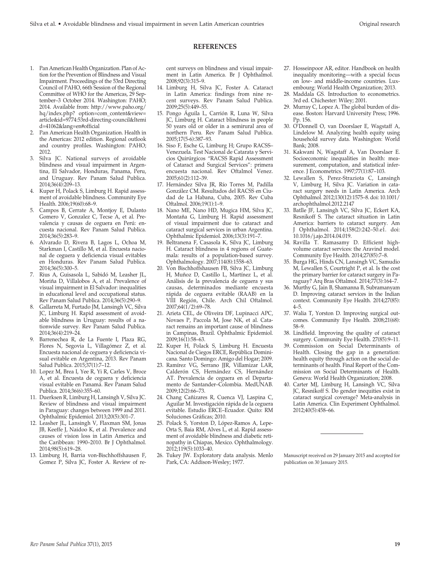#### **REFERENCES**

- 1. Pan American Health Organization. Plan of Action for the Prevention of Blindness and Visual Impairment. Proceedings of the 53rd Directing Council of PAHO, 66th Session of the Regional Committee of WHO for the Americas, 29 September–3 October 2014. Washington: PAHO; 2014. Available from: http://www.paho.org/ hq/index.php? option=com\_content&view= article&id=9774:53rd-directing-council&Itemi d=41062&lang=en#official
- 2. Pan American Health Organization. Health in the Americas: 2012 edition. Regional outlook and country profiles. Washington: PAHO; 2012.
- 3. Silva JC. National surveys of avoidable blindness and visual impairment in Argentina, El Salvador, Honduras, Panama, Peru, and Uruguay. Rev Panam Salud Publica. 2014;36(4):209–13.
- 4. Kuper H, Polack S, Limburg H. Rapid assessment of avoidable blindness. Community Eye Health. 2006;19(60):68–9.
- 5. Campos B, Cerrate A, Montjoy E, Dulanto Gomero V, Gonzalez C, Tecse A, et al. Prevalencia y causas de ceguera en Perú: encuesta nacional. Rev Panam Salud Publica. 2014;36(5):283–9.
- 6. Alvarado D, Rivera B, Lagos L, Ochoa M, Starkman I, Castillo M, et al. Encuesta nacional de ceguera y deficiencia visual evitables en Honduras. Rev Panam Salud Publica. 2014;36(5):300–5.
- 7. Rius A, Guisasola L, Sabidó M, Leasher JL, Moriña D, Villalobos A, et al. Prevalence of visual impairment in El Salvador: inequalities in educational level and occupational status. Rev Panam Salud Publica. 2014;36(5):290–9.
- 8. Gallarreta M, Furtado JM, Lansingh VC, Silva JC, Limburg H. Rapid assessment of avoidable blindness in Uruguay: results of a nationwide survey. Rev Panam Salud Publica. 2014;36(4):219–24.
- 9. Barrenechea R, de La Fuente I, Plaza RG, Flores N, Segovia L, Villagómez Z, et al. Encuesta nacional de ceguera y deficiencia visual evitable en Argentina, 2013. Rev Panam Salud Publica. 2015;37(1):7–12.
- 10. Lopez M, Brea I, Yee R, Yi R, Carles V, Broce A, et al. Encuesta de ceguera y deficiencia visual evitable en Panamá. Rev Panam Salud Publica. 2014;36(6):355–60.
- 11. Duerksen R, Limburg H, Lansingh V, Silva JC. Review of blindness and visual impairment in Paraguay: changes between 1999 and 2011. Ophthalmic Epidemiol. 2013;20(5):301–7.
- 12. Leasher JL, Lansingh V, Flaxman SM, Jonas JB, Keeffe J, Naidoo K, et al. Prevalence and causes of vision loss in Latin America and the Caribbean: 1990–2010. Br J Ophthalmol. 2014;98(5):619–28.
- 13. Limburg H, Barria von-Bischhoffshausen F, Gomez P, Silva JC, Foster A. Review of re-

cent surveys on blindness and visual impairment in Latin America. Br J Ophthalmol. 2008;92(3):315–9.

- 14. Limburg H, Silva JC, Foster A. Cataract in Latin America: findings from nine recent surveys. Rev Panam Salud Publica. 2009;25(5):449–55.
- 15. Pongo Águila L, Carrión R, Luna W, Silva JC, Limburg H. Cataract blindness in people 50 years old or older in a semirural area of northern Peru. Rev Panam Salud Publica. 2005;17(5-6):387–93.
- 16. Siso F, Esche G, Limburg H; Grupo RACSS– Venezuela. Test Nacional de Catarata y Servicios Quirúrgicos "RACSS Rapid Assessment of Cataract and Surgical Services": primera encuesta nacional. Rev Oftalmol Venez. 2005;61(2):112–39.
- 17. Hernández Silva JR, Río Torres M, Padilla González CM. Resultados del RACSS en Ciudad de La Habana, Cuba, 2005. Rev Cuba Oftalmol. 2006;19(1):1–9.
- 18. Nano ME, Nano HD, Mugica HM, Silva JC, Montaña G, Limburg H. Rapid assessment of visual impairment due to cataract and cataract surgical services in urban Argentina. Ophthalmic Epidemiol. 2006;13(3):191–7.
- 19. Beltranena F, Casasola K, Silva JC, Limburg H. Cataract blindness in 4 regions of Guatemala: results of a population-based survey. Ophthalmology. 2007;114(8):1558–63.
- 20. Von Bischhoffshausen FB, Silva JC, Limburg H, Muñoz D, Castillo L, Martínez L, et al. Análisis de la prevalencia de ceguera y sus causas, determinados mediante encuesta rápida de ceguera evitable (RAAB) en la VIII Región, Chile. Arch Chil Oftalmol. 2007;64(1/2):69–78.
- 21. Arieta CEL, de Oliveira DF, Lupinacci APC, Novaes P, Paccola M, Jose NK, et al. Cataract remains an important cause of blindness in Campinas, Brazil. Ophthalmic Epidemiol. 2009;16(1):58–63.
- 22. Kuper H, Polack S, Limburg H. Encuesta Nacional de Ciegos ERCE, República Dominicana. Santo Domingo: Amigo del Hogar; 2009.
- 23. Ramírez VG, Serrano JJR, Villamizar LAR, Calderón CS, Hernández CS, Hernández AT. Prevalencia de ceguera en el Departamento de Santander–Colombia. MedUNAB. 2009;12(2):66–73.
- 24. Chang Cañizares R, Cuenca VJ, Laspina C, Aguilar M. Investigación rápida de la ceguera evitable. Estudio ERCE–Ecuador. Quito: RM Soluciones Gráficas; 2010.
- 25. Polack S, Yorston D, López-Ramos A, Lepe-Orta S, Baia RM, Alves L, et al. Rapid assessment of avoidable blindness and diabetic retinopathy in Chiapas, Mexico. Ophthalmology. 2012;119(5):1033–40.
- 26. Tukey JW. Exploratory data analysis. Menlo Park, CA: Addison-Wesley; 1977.
- 27. Hosseinpoor AR, editor. Handbook on health inequality monitoring—with a special focus on low- and middle-income countries. Luxembourg: World Health Organization; 2013.
- 28. Maddala GS. Introduction to econometrics. 3rd ed. Chichester: Wiley; 2001.
- 29. Murray C, Lopez A. The global burden of disease. Boston: Harvard University Press; 1996. Pp. 156.
- 30. O'Donnell O, van Doorslaer E, Wagstaff A, Lindelow M. Analyzing health equity using household survey data. Washington: World Bank; 2008.
- 31. Kakwani N, Wagstaff A, Van Doorslaer E. Socioeconomic inequalities in health: measurement, computation, and statistical inference. J Econometrics. 1997;77(1):87–103.
- 32. Lewallen S, Perez-Straziota C, Lansingh V, Limburg H, Silva JC. Variation in cataract surgery needs in Latin America. Arch Ophthalmol. 2012;130(12):1575–8. doi: 10.1001/ archophthalmol.2012.2147
- 33. Batlle JF, Lansingh VC, Silva JC, Eckert KA, Resnikoff S. [The cataract situation in Latin](http://www.ncbi.nlm.nih.gov/pubmed/24792101) [America: barriers to cataract surgery.](http://www.ncbi.nlm.nih.gov/pubmed/24792101) Am J Ophthalmol. 2014;158(2):242–50.e1. doi: 10.1016/j.ajo.2014.04.019.
- 34. Ravilla T. Ramasamy D. Efficient highvolume cataract services: the Aravind model. Community Eye Health. 2014;27(85):7–8.
- 35. Burga HG, Hinds CN, Lansingh VC, Samudio M, Lewallen S, Courtright P, et al. Is the cost the primary barrier for cataract surgery in Paraguay? Arq Bras Oftalmol. 2014;77(3):164–7.
- 36. Murthy G, Jain B, Shamanna B, Subramanyam D. Improving cataract services in the Indian context. Community Eye Health. 2014;27(85): 4–5.
- 37. Walia T, Yorston D. Improving surgical outcomes. Community Eye Health. 2008;21(68): 58–9.
- 38. Lindfield. Improving the quality of cataract surgery. Community Eye Health. 27(85):9–11.
- 39. Commission on Social Determinants of Health. Closing the gap in a generation: health equity through action on the social determinants of health. Final Report of the Commission on Social Determinants of Health. Geneva: World Health Organization; 2008.
- 40. Carter MJ, Limburg H, Lansingh VC, Silva JC, Resnikoff S. Do gender inequities exist in cataract surgical coverage? Meta-analysis in Latin America. Clin Experiment Ophthalmol. 2012;40(5):458–66.

Manuscript received on 29 January 2015 and accepted for publication on 30 January 2015.